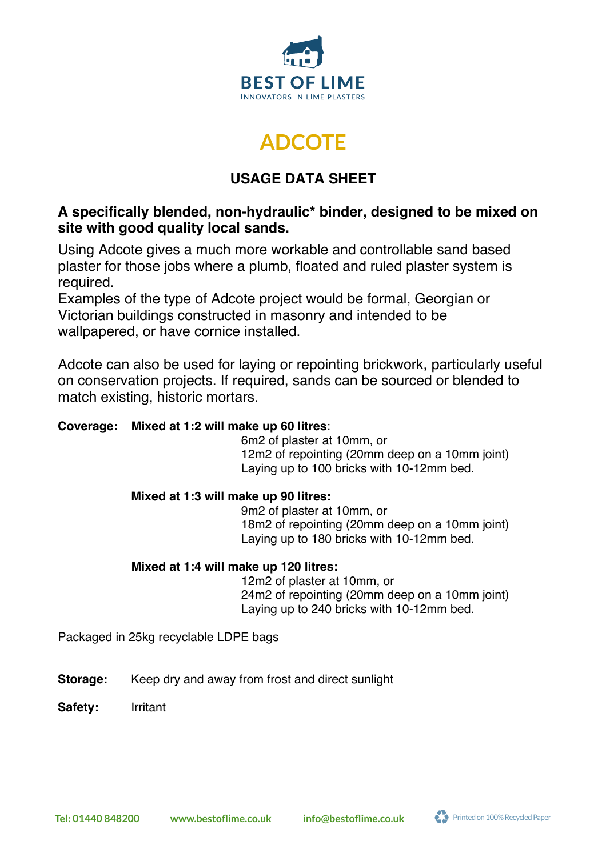

# **ADCOTE ADCOTE**

# **USAGE DATA SHEET**

## **A specifically blended, non-hydraulic\* binder, designed to be mixed on site with good quality local sands.**

Using Adcote gives a much more workable and controllable sand based plaster for those jobs where a plumb, floated and ruled plaster system is required.

Examples of the type of Adcote project would be formal, Georgian or Victorian buildings constructed in masonry and intended to be wallpapered, or have cornice installed.

Adcote can also be used for laying or repointing brickwork, particularly useful on conservation projects. If required, sands can be sourced or blended to match existing, historic mortars.

#### **Coverage: Mixed at 1:2 will make up 60 litres**:

6m2 of plaster at 10mm, or 12m2 of repointing (20mm deep on a 10mm joint) Laying up to 100 bricks with 10-12mm bed.

#### **Mixed at 1:3 will make up 90 litres:**

9m2 of plaster at 10mm, or 18m2 of repointing (20mm deep on a 10mm joint) Laying up to 180 bricks with 10-12mm bed.

#### **Mixed at 1:4 will make up 120 litres:**

12m2 of plaster at 10mm, or 24m2 of repointing (20mm deep on a 10mm joint) Laying up to 240 bricks with 10-12mm bed.

Packaged in 25kg recyclable LDPE bags

**Storage:** Keep dry and away from frost and direct sunlight

Safety: Irritant